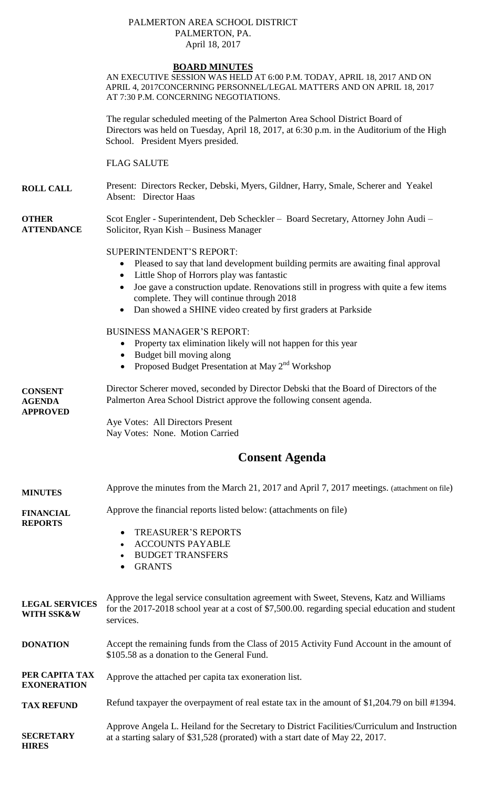### PALMERTON AREA SCHOOL DISTRICT PALMERTON, PA. April 18, 2017

# **BOARD MINUTES**

AN EXECUTIVE SESSION WAS HELD AT 6:00 P.M. TODAY, APRIL 18, 2017 AND ON APRIL 4, 2017CONCERNING PERSONNEL/LEGAL MATTERS AND ON APRIL 18, 2017 AT 7:30 P.M. CONCERNING NEGOTIATIONS.

The regular scheduled meeting of the Palmerton Area School District Board of Directors was held on Tuesday, April 18, 2017, at 6:30 p.m. in the Auditorium of the High School. President Myers presided.

FLAG SALUTE

**ROLL CALL** Present: Directors Recker, Debski, Myers, Gildner, Harry, Smale, Scherer and Yeakel Absent: Director Haas

**OTHER ATTENDANCE** Scot Engler - Superintendent, Deb Scheckler – Board Secretary, Attorney John Audi – Solicitor, Ryan Kish – Business Manager

### SUPERINTENDENT'S REPORT:

- Pleased to say that land development building permits are awaiting final approval
- Little Shop of Horrors play was fantastic
- Joe gave a construction update. Renovations still in progress with quite a few items complete. They will continue through 2018
- Dan showed a SHINE video created by first graders at Parkside

BUSINESS MANAGER'S REPORT:

- Property tax elimination likely will not happen for this year
- Budget bill moving along
- Proposed Budget Presentation at May  $2<sup>nd</sup>$  Workshop

**CONSENT AGENDA APPROVED** Director Scherer moved, seconded by Director Debski that the Board of Directors of the Palmerton Area School District approve the following consent agenda. Aye Votes: All Directors Present Nay Votes: None. Motion Carried **Consent Agenda**

| <b>MINUTES</b>                       | Approve the minutes from the March 21, 2017 and April 7, 2017 meetings. (attachment on file)                                                                                                           |
|--------------------------------------|--------------------------------------------------------------------------------------------------------------------------------------------------------------------------------------------------------|
| <b>FINANCIAL</b><br><b>REPORTS</b>   | Approve the financial reports listed below: (attachments on file)<br><b>TREASURER'S REPORTS</b><br>$\bullet$<br><b>ACCOUNTS PAYABLE</b><br><b>BUDGET TRANSFERS</b><br><b>GRANTS</b>                    |
| <b>LEGAL SERVICES</b><br>WITH SSK&W  | Approve the legal service consultation agreement with Sweet, Stevens, Katz and Williams<br>for the 2017-2018 school year at a cost of \$7,500.00. regarding special education and student<br>services. |
| <b>DONATION</b>                      | Accept the remaining funds from the Class of 2015 Activity Fund Account in the amount of<br>\$105.58 as a donation to the General Fund.                                                                |
| PER CAPITA TAX<br><b>EXONERATION</b> | Approve the attached per capita tax exoneration list.                                                                                                                                                  |
| <b>TAX REFUND</b>                    | Refund taxpayer the overpayment of real estate tax in the amount of \$1,204.79 on bill #1394.                                                                                                          |
| <b>SECRETARY</b><br><b>HIRES</b>     | Approve Angela L. Heiland for the Secretary to District Facilities/Curriculum and Instruction<br>at a starting salary of \$31,528 (prorated) with a start date of May 22, 2017.                        |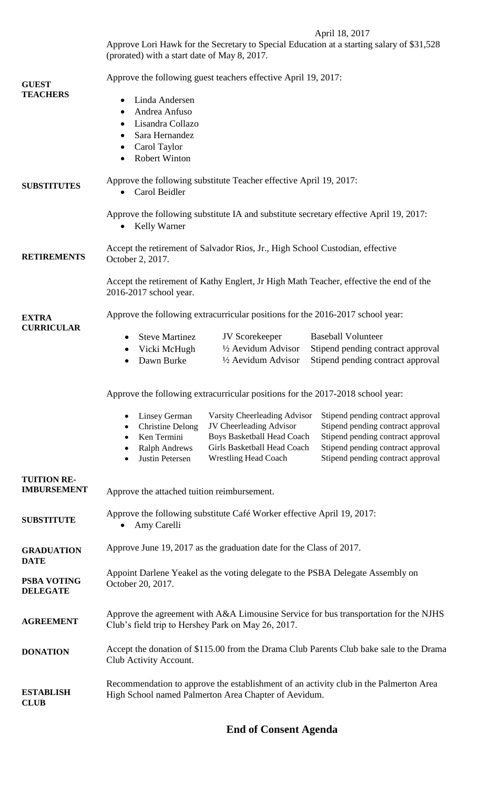# April 18, 2017

Approve Lori Hawk for the Secretary to Special Education at a starting salary of \$31,528 (prorated) with a start date of May 8, 2017.

| <b>GUEST</b><br><b>TEACHERS</b>          | Approve the following guest teachers effective April 19, 2017:<br>Linda Andersen<br>$\bullet$<br>Andrea Anfuso<br>$\bullet$<br>Lisandra Collazo<br>$\bullet$<br>Sara Hernandez<br>Carol Taylor<br>$\bullet$<br><b>Robert Winton</b>                                                                                                                                                                                                                    |
|------------------------------------------|--------------------------------------------------------------------------------------------------------------------------------------------------------------------------------------------------------------------------------------------------------------------------------------------------------------------------------------------------------------------------------------------------------------------------------------------------------|
| <b>SUBSTITUTES</b>                       | Approve the following substitute Teacher effective April 19, 2017:<br>Carol Beidler                                                                                                                                                                                                                                                                                                                                                                    |
|                                          | Approve the following substitute IA and substitute secretary effective April 19, 2017:<br><b>Kelly Warner</b><br>$\bullet$                                                                                                                                                                                                                                                                                                                             |
| <b>RETIREMENTS</b>                       | Accept the retirement of Salvador Rios, Jr., High School Custodian, effective<br>October 2, 2017.                                                                                                                                                                                                                                                                                                                                                      |
|                                          | Accept the retirement of Kathy Englert, Jr High Math Teacher, effective the end of the<br>2016-2017 school year.                                                                                                                                                                                                                                                                                                                                       |
| <b>EXTRA</b><br><b>CURRICULAR</b>        | Approve the following extracurricular positions for the 2016-2017 school year:<br>JV Scorekeeper<br><b>Baseball Volunteer</b><br><b>Steve Martinez</b><br>$\bullet$<br>1/2 Aevidum Advisor<br>Stipend pending contract approval<br>Vicki McHugh<br>٠<br>Stipend pending contract approval<br>Dawn Burke<br>1/2 Aevidum Advisor                                                                                                                         |
|                                          | Approve the following extracurricular positions for the 2017-2018 school year:                                                                                                                                                                                                                                                                                                                                                                         |
|                                          | Linsey German Varsity Cheerleading Advisor Stipend pending contract approval<br>JV Cheerleading Advisor<br>Stipend pending contract approval<br><b>Christine Delong</b><br>Stipend pending contract approval<br>Boys Basketball Head Coach<br>Ken Termini<br>٠<br>Girls Basketball Head Coach<br>Stipend pending contract approval<br><b>Ralph Andrews</b><br>Stipend pending contract approval<br><b>Wrestling Head Coach</b><br>Justin Petersen<br>٠ |
| <b>TUITION RE-</b><br><b>IMBURSEMENT</b> | Approve the attached tuition reimbursement.                                                                                                                                                                                                                                                                                                                                                                                                            |
| <b>SUBSTITUTE</b>                        | Approve the following substitute Café Worker effective April 19, 2017:<br>Amy Carelli                                                                                                                                                                                                                                                                                                                                                                  |
| <b>GRADUATION</b><br><b>DATE</b>         | Approve June 19, 2017 as the graduation date for the Class of 2017.                                                                                                                                                                                                                                                                                                                                                                                    |
| PSBA VOTING<br><b>DELEGATE</b>           | Appoint Darlene Yeakel as the voting delegate to the PSBA Delegate Assembly on<br>October 20, 2017.                                                                                                                                                                                                                                                                                                                                                    |
| <b>AGREEMENT</b>                         | Approve the agreement with A&A Limousine Service for bus transportation for the NJHS<br>Club's field trip to Hershey Park on May 26, 2017.                                                                                                                                                                                                                                                                                                             |
| <b>DONATION</b>                          | Accept the donation of \$115.00 from the Drama Club Parents Club bake sale to the Drama<br>Club Activity Account.                                                                                                                                                                                                                                                                                                                                      |
| <b>ESTABLISH</b><br><b>CLUB</b>          | Recommendation to approve the establishment of an activity club in the Palmerton Area<br>High School named Palmerton Area Chapter of Aevidum.                                                                                                                                                                                                                                                                                                          |

# **End of Consent Agenda**